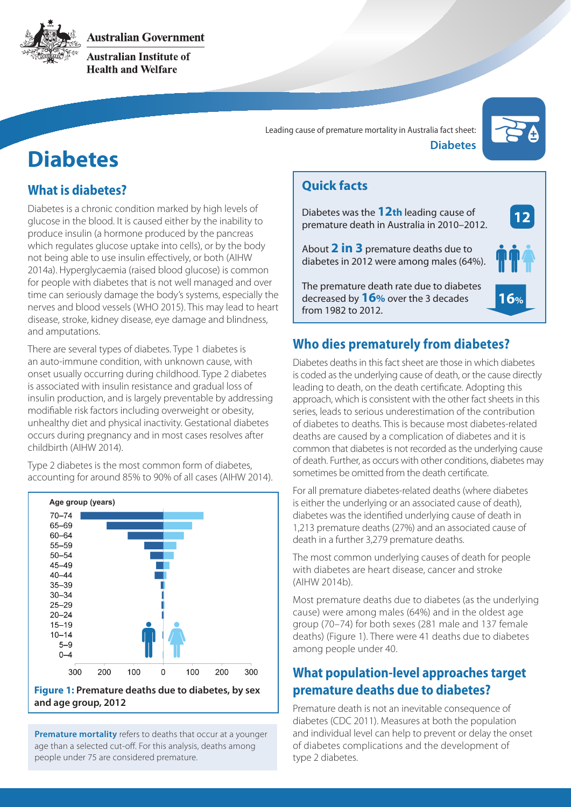**Australian Government** 



**Australian Institute of Health and Welfare** 

> Leading cause of premature mortality in Australia fact sheet: **Diabetes**



# **Diabetes**

### **What is diabetes?**

Diabetes is a chronic condition marked by high levels of glucose in the blood. It is caused either by the inability to produce insulin (a hormone produced by the pancreas which regulates glucose uptake into cells), or by the body not being able to use insulin effectively, or both (AIHW 2014a). Hyperglycaemia (raised blood glucose) is common for people with diabetes that is not well managed and over time can seriously damage the body's systems, especially the nerves and blood vessels (WHO 2015). This may lead to heart disease, stroke, kidney disease, eye damage and blindness, and amputations.

There are several types of diabetes. Type 1 diabetes is an auto-immune condition, with unknown cause, with onset usually occurring during childhood. Type 2 diabetes is associated with insulin resistance and gradual loss of insulin production, and is largely preventable by addressing modifiable risk factors including overweight or obesity, unhealthy diet and physical inactivity. Gestational diabetes occurs during pregnancy and in most cases resolves after childbirth (AIHW 2014).

Type 2 diabetes is the most common form of diabetes, accounting for around 85% to 90% of all cases (AIHW 2014).



**and age group, 2012**

**Premature mortality** refers to deaths that occur at a younger age than a selected cut-off. For this analysis, deaths among people under 75 are considered premature.

**Quick facts**

Diabetes was the **12th** leading cause of premature death in Australia in 2010–2012.

About **2 in 3** premature deaths due to diabetes in 2012 were among males (64%).

The premature death rate due to diabetes decreased by **16%** over the 3 decades from 1982 to 2012.



**12**

## **Who dies prematurely from diabetes?**

Diabetes deaths in this fact sheet are those in which diabetes is coded as the underlying cause of death, or the cause directly leading to death, on the death certificate. Adopting this approach, which is consistent with the other fact sheets in this series, leads to serious underestimation of the contribution of diabetes to deaths. This is because most diabetes-related deaths are caused by a complication of diabetes and it is common that diabetes is not recorded as the underlying cause of death. Further, as occurs with other conditions, diabetes may sometimes be omitted from the death certificate.

For all premature diabetes-related deaths (where diabetes is either the underlying or an associated cause of death), diabetes was the identified underlying cause of death in 1,213 premature deaths (27%) and an associated cause of death in a further 3,279 premature deaths.

The most common underlying causes of death for people with diabetes are heart disease, cancer and stroke (AIHW 2014b).

Most premature deaths due to diabetes (as the underlying cause) were among males (64%) and in the oldest age group (70–74) for both sexes (281 male and 137 female deaths) (Figure 1). There were 41 deaths due to diabetes among people under 40.

### **What population-level approaches target premature deaths due to diabetes?**

Premature death is not an inevitable consequence of diabetes (CDC 2011). Measures at both the population and individual level can help to prevent or delay the onset of diabetes complications and the development of type 2 diabetes.